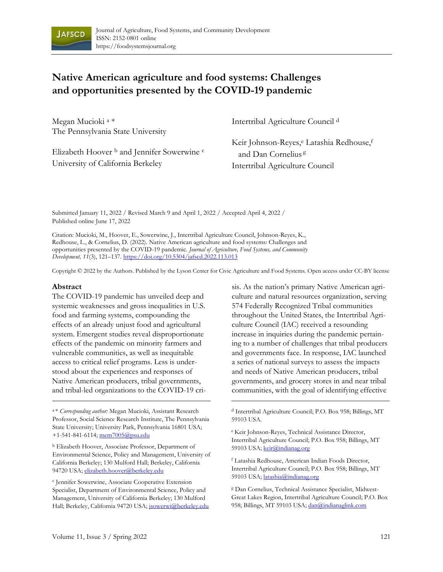

# **Native American agriculture and food systems: Challenges and opportunities presented by the COVID-19 pandemic**

Megan Mucioki <sup>a</sup> \* The Pennsylvania State University

Elizabeth Hoover <sup>b</sup> and Jennifer Sowerwine <sup>c</sup> University of California Berkeley

Intertribal Agriculture Council <sup>d</sup>

Keir Johnson-Reyes, <sup>e</sup> Latashia Redhouse, f and Dan Cornelius<sup>8</sup> Intertribal Agriculture Council

Submitted January 11, 2022 / Revised March 9 and April 1, 2022 / Accepted April 4, 2022 / Published online June 17, 2022

Citation: Mucioki, M., Hoover, E., Sowerwine, J., Intertribal Agriculture Council, Johnson-Reyes, K., Redhouse, L., & Cornelius, D. (2022). Native American agriculture and food systems: Challenges and opportunities presented by the COVID-19 pandemic*. Journal of Agriculture, Food Systems, and Community Development, 11*(3), 121–137[. https://doi.org/10.5304/jafscd.2022.113.013](https://doi.org/10.5304/jafscd.2022.113.013)

Copyright © 2022 by the Authors. Published by the Lyson Center for Civic Agriculture and Food Systems. Open access under CC-BY license

#### **Abstract**

The COVID-19 pandemic has unveiled deep and systemic weaknesses and gross inequalities in U.S. food and farming systems, compounding the effects of an already unjust food and agricultural system. Emergent studies reveal disproportionate effects of the pandemic on minority farmers and vulnerable communities, as well as inequitable access to critical relief programs. Less is understood about the experiences and responses of Native American producers, tribal governments, and tribal-led organizations to the COVID-19 cri-

<sup>a</sup> \* *Corresponding author:* Megan Mucioki, Assistant Research Professor, Social Science Research Institute, The Pennsylvania State University; University Park, Pennsylvania 16801 USA; +1-541-841-6114; [mem7005@psu.edu](mailto:mem7005@psu.edu)

<sup>b</sup> Elizabeth Hoover, Associate Professor, Department of Environmental Science, Policy and Management, University of California Berkeley; 130 Mulford Hall; Berkeley, California 94720 USA[; elizabeth.hoover@berkeley.edu](mailto:elizabeth.hoover@berkeley.edu)

c Jennifer Sowerwine, Associate Cooperative Extension Specialist, Department of Environmental Science, Policy and Management, University of California Berkeley; 130 Mulford Hall; Berkeley, California 94720 USA; [jsowerwi@berkeley.edu](mailto:jsowerwi@berkeley.edu) sis. As the nation's primary Native American agriculture and natural resources organization, serving 574 Federally Recognized Tribal communities throughout the United States, the Intertribal Agriculture Council (IAC) received a resounding increase in inquiries during the pandemic pertaining to a number of challenges that tribal producers and governments face. In response, IAC launched a series of national surveys to assess the impacts and needs of Native American producers, tribal governments, and grocery stores in and near tribal communities, with the goal of identifying effective

d Intertribal Agriculture Council; P.O. Box 958; Billings, MT 59103 USA.

<sup>e</sup> Keir Johnson-Reyes, Technical Assistance Director, Intertribal Agriculture Council; P.O. Box 958; Billings, MT 59103 USA[; keir@indianag.org](mailto:keir@indianag.org)

<sup>f</sup> Latashia Redhouse, American Indian Foods Director, Intertribal Agriculture Council; P.O. Box 958; Billings, MT 59103 USA[; latashia@indianag.org](mailto:Latashia@indianag.org)

<sup>g</sup> Dan Cornelius, Technical Assistance Specialist, Midwest-Great Lakes Region, Intertribal Agriculture Council; P.O. Box 958; Billings, MT 59103 USA; [dan@indianaglink.com](mailto:dan@indianaglink.com)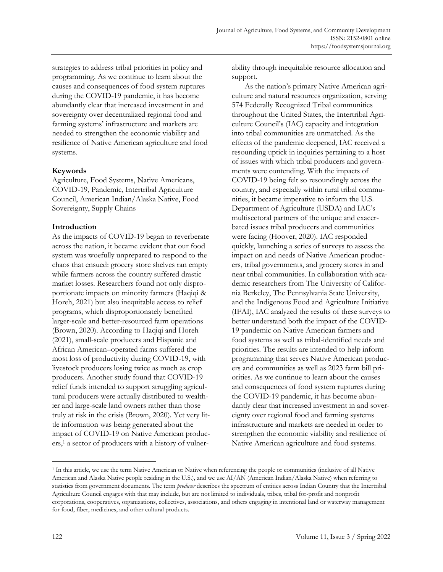strategies to address tribal priorities in policy and programming. As we continue to learn about the causes and consequences of food system ruptures during the COVID-19 pandemic, it has become abundantly clear that increased investment in and sovereignty over decentralized regional food and farming systems' infrastructure and markets are needed to strengthen the economic viability and resilience of Native American agriculture and food systems.

#### **Keywords**

Agriculture, Food Systems, Native Americans, COVID-19, Pandemic, Intertribal Agriculture Council, American Indian/Alaska Native, Food Sovereignty, Supply Chains

#### **Introduction**

As the impacts of COVID-19 began to reverberate across the nation, it became evident that our food system was woefully unprepared to respond to the chaos that ensued: grocery store shelves ran empty while farmers across the country suffered drastic market losses. Researchers found not only disproportionate impacts on minority farmers (Haqiqi & Horeh, 2021) but also inequitable access to relief programs, which disproportionately benefited larger-scale and better-resourced farm operations (Brown, 2020). According to Haqiqi and Horeh (2021), small-scale producers and Hispanic and African American–operated farms suffered the most loss of productivity during COVID-19, with livestock producers losing twice as much as crop producers. Another study found that COVID-19 relief funds intended to support struggling agricultural producers were actually distributed to wealthier and large-scale land owners rather than those truly at risk in the crisis (Brown, 2020). Yet very little information was being generated about the impact of COVID-19 on Native American producers, <sup>1</sup> a sector of producers with a history of vulnerability through inequitable resource allocation and support.

As the nation's primary Native American agriculture and natural resources organization, serving 574 Federally Recognized Tribal communities throughout the United States, the Intertribal Agriculture Council's (IAC) capacity and integration into tribal communities are unmatched. As the effects of the pandemic deepened, IAC received a resounding uptick in inquiries pertaining to a host of issues with which tribal producers and governments were contending. With the impacts of COVID-19 being felt so resoundingly across the country, and especially within rural tribal communities, it became imperative to inform the U.S. Department of Agriculture (USDA) and IAC's multisectoral partners of the unique and exacerbated issues tribal producers and communities were facing (Hoover, 2020). IAC responded quickly, launching a series of surveys to assess the impact on and needs of Native American producers, tribal governments, and grocery stores in and near tribal communities. In collaboration with academic researchers from The University of California Berkeley, The Pennsylvania State University, and the Indigenous Food and Agriculture Initiative (IFAI), IAC analyzed the results of these surveys to better understand both the impact of the COVID-19 pandemic on Native American farmers and food systems as well as tribal-identified needs and priorities. The results are intended to help inform programming that serves Native American producers and communities as well as 2023 farm bill priorities. As we continue to learn about the causes and consequences of food system ruptures during the COVID-19 pandemic, it has become abundantly clear that increased investment in and sovereignty over regional food and farming systems infrastructure and markets are needed in order to strengthen the economic viability and resilience of Native American agriculture and food systems.

<sup>1</sup> In this article, we use the term Native American or Native when referencing the people or communities (inclusive of all Native American and Alaska Native people residing in the U.S.), and we use AI/AN (American Indian/Alaska Native) when referring to statistics from government documents. The term *producer* describes the spectrum of entities across Indian Country that the Intertribal Agriculture Council engages with that may include, but are not limited to individuals, tribes, tribal for-profit and nonprofit corporations, cooperatives, organizations, collectives, associations, and others engaging in intentional land or waterway management for food, fiber, medicines, and other cultural products.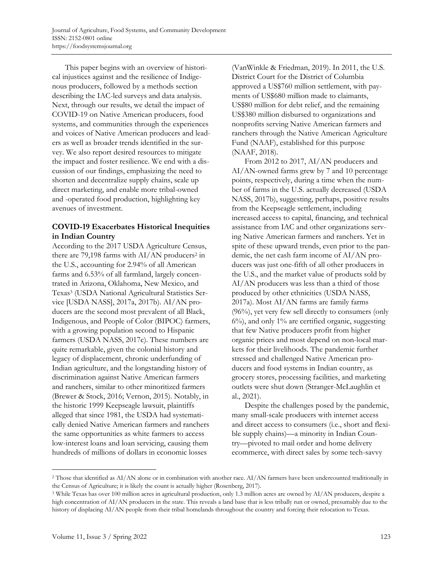This paper begins with an overview of historical injustices against and the resilience of Indigenous producers, followed by a methods section describing the IAC-led surveys and data analysis. Next, through our results, we detail the impact of COVID-19 on Native American producers, food systems, and communities through the experiences and voices of Native American producers and leaders as well as broader trends identified in the survey. We also report desired resources to mitigate the impact and foster resilience. We end with a discussion of our findings, emphasizing the need to shorten and decentralize supply chains, scale up direct marketing, and enable more tribal-owned and -operated food production, highlighting key avenues of investment.

# **COVID-19 Exacerbates Historical Inequities in Indian Country**

According to the 2017 USDA Agriculture Census, there are 79,198 farms with  $AI/AN$  producers<sup>2</sup> in the U.S., accounting for 2.94% of all American farms and 6.53% of all farmland, largely concentrated in Arizona, Oklahoma, New Mexico, and Texas<sup>3</sup> (USDA National Agricultural Statistics Service [USDA NASS], 2017a, 2017b). AI/AN producers are the second most prevalent of all Black, Indigenous, and People of Color (BIPOC) farmers, with a growing population second to Hispanic farmers (USDA NASS, 2017c). These numbers are quite remarkable, given the colonial history and legacy of displacement, chronic underfunding of Indian agriculture, and the longstanding history of discrimination against Native American farmers and ranchers, similar to other minoritized farmers (Brewer & Stock, 2016; Vernon, 2015). Notably, in the historic 1999 Keepseagle lawsuit, plaintiffs alleged that since 1981, the USDA had systematically denied Native American farmers and ranchers the same opportunities as white farmers to access low-interest loans and loan servicing, causing them hundreds of millions of dollars in economic losses

(VanWinkle & Friedman, 2019). In 2011, the U.S. District Court for the District of Columbia approved a US\$760 million settlement, with payments of US\$680 million made to claimants, US\$80 million for debt relief, and the remaining US\$380 million disbursed to organizations and nonprofits serving Native American farmers and ranchers through the Native American Agriculture Fund (NAAF), established for this purpose (NAAF, 2018).

From 2012 to 2017, AI/AN producers and AI/AN-owned farms grew by 7 and 10 percentage points, respectively, during a time when the number of farms in the U.S. actually decreased (USDA NASS, 2017b), suggesting, perhaps, positive results from the Keepseagle settlement, including increased access to capital, financing, and technical assistance from IAC and other organizations serving Native American farmers and ranchers. Yet in spite of these upward trends, even prior to the pandemic, the net cash farm income of AI/AN producers was just one-fifth of all other producers in the U.S., and the market value of products sold by AI/AN producers was less than a third of those produced by other ethnicities (USDA NASS, 2017a). Most AI/AN farms are family farms (96%), yet very few sell directly to consumers (only 6%), and only 1% are certified organic, suggesting that few Native producers profit from higher organic prices and most depend on non-local markets for their livelihoods. The pandemic further stressed and challenged Native American producers and food systems in Indian country, as grocery stores, processing facilities, and marketing outlets were shut down (Stranger-McLaughlin et al., 2021).

Despite the challenges posed by the pandemic, many small-scale producers with internet access and direct access to consumers (i.e., short and flexible supply chains)—a minority in Indian Country—pivoted to mail order and home delivery ecommerce, with direct sales by some tech-savvy

<sup>2</sup> Those that identified as AI/AN alone or in combination with another race. AI/AN farmers have been undercounted traditionally in the Census of Agriculture; it is likely the count is actually higher (Rosenberg, 2017).

<sup>3</sup> While Texas has over 100 million acres in agricultural production, only 1.3 million acres are owned by AI/AN producers, despite a high concentration of AI/AN producers in the state. This reveals a land base that is less tribally run or owned, presumably due to the history of displacing AI/AN people from their tribal homelands throughout the country and forcing their relocation to Texas.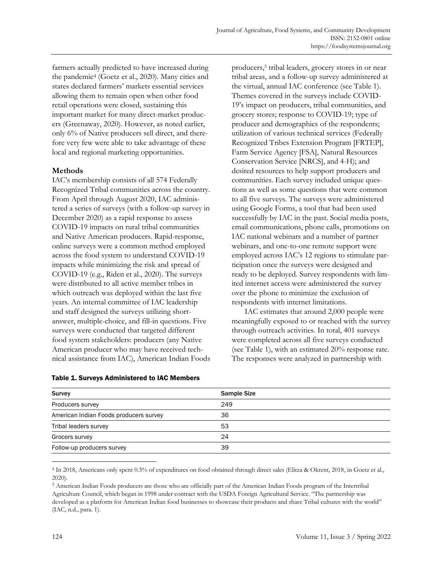farmers actually predicted to have increased during the pandemic<sup>4</sup> (Goetz et al., 2020). Many cities and states declared farmers' markets essential services allowing them to remain open when other food retail operations were closed, sustaining this important market for many direct-market producers (Greenaway, 2020). However, as noted earlier, only 6% of Native producers sell direct, and therefore very few were able to take advantage of these local and regional marketing opportunities.

#### **Methods**

IAC's membership consists of all 574 Federally Recognized Tribal communities across the country. From April through August 2020, IAC administered a series of surveys (with a follow-up survey in December 2020) as a rapid response to assess COVID-19 impacts on rural tribal communities and Native American producers. Rapid-response, online surveys were a common method employed across the food system to understand COVID-19 impacts while minimizing the risk and spread of COVID-19 (e.g., Riden et al., 2020). The surveys were distributed to all active member tribes in which outreach was deployed within the last five years. An internal committee of IAC leadership and staff designed the surveys utilizing shortanswer, multiple-choice, and fill-in questions. Five surveys were conducted that targeted different food system stakeholders: producers (any Native American producer who may have received technical assistance from IAC), American Indian Foods

producers, 5 tribal leaders, grocery stores in or near tribal areas, and a follow-up survey administered at the virtual, annual IAC conference (see Table 1). Themes covered in the surveys include COVID-19's impact on producers, tribal communities, and grocery stores; response to COVID-19; type of producer and demographics of the respondents; utilization of various technical services (Federally Recognized Tribes Extension Program [FRTEP], Farm Service Agency [FSA], Natural Resources Conservation Service [NRCS], and 4-H); and desired resources to help support producers and communities. Each survey included unique questions as well as some questions that were common to all five surveys. The surveys were administered using Google Forms, a tool that had been used successfully by IAC in the past. Social media posts, email communications, phone calls, promotions on IAC national webinars and a number of partner webinars, and one-to-one remote support were employed across IAC's 12 regions to stimulate participation once the surveys were designed and ready to be deployed. Survey respondents with limited internet access were administered the survey over the phone to minimize the exclusion of respondents with internet limitations.

IAC estimates that around 2,000 people were meaningfully exposed to or reached with the survey through outreach activities. In total, 401 surveys were completed across all five surveys conducted (see Table 1), with an estimated 20% response rate. The responses were analyzed in partnership with

| <b>Survey</b>                          | <b>Sample Size</b> |
|----------------------------------------|--------------------|
| Producers survey                       | 249                |
| American Indian Foods producers survey | 36                 |
| Tribal leaders survey                  | 53                 |
| Grocers survey                         | 24                 |
| Follow-up producers survey             | 39                 |

#### Table 1. Surveys Administered to IAC Members

<sup>4</sup> In 2018, Americans only spent 0.3% of expenditures on food obtained through direct sales (Elitza & Okrent, 2018, in Goetz et al., 2020).

<sup>5</sup> American Indian Foods producers are those who are officially part of the American Indian Foods program of the Intertribal Agriculture Council, which began in 1998 under contract with the USDA Foreign Agricultural Service. "The partnership was developed as a platform for American Indian food businesses to showcase their products and share Tribal cultures with the world" (IAC, n.d., para. 1).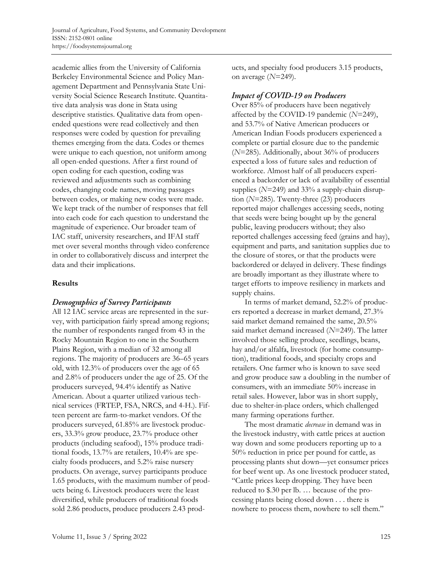academic allies from the University of California Berkeley Environmental Science and Policy Management Department and Pennsylvania State University Social Science Research Institute. Quantitative data analysis was done in Stata using descriptive statistics. Qualitative data from openended questions were read collectively and then responses were coded by question for prevailing themes emerging from the data. Codes or themes were unique to each question, not uniform among all open-ended questions. After a first round of open coding for each question, coding was reviewed and adjustments such as combining codes, changing code names, moving passages between codes, or making new codes were made. We kept track of the number of responses that fell into each code for each question to understand the magnitude of experience. Our broader team of IAC staff, university researchers, and IFAI staff met over several months through video conference in order to collaboratively discuss and interpret the data and their implications.

#### **Results**

# Demographics of Survey Participants

All 12 IAC service areas are represented in the survey, with participation fairly spread among regions; the number of respondents ranged from 43 in the Rocky Mountain Region to one in the Southern Plains Region, with a median of 32 among all regions. The majority of producers are 36–65 years old, with 12.3% of producers over the age of 65 and 2.8% of producers under the age of 25. Of the producers surveyed, 94.4% identify as Native American. About a quarter utilized various technical services (FRTEP, FSA, NRCS, and 4-H.). Fifteen percent are farm-to-market vendors. Of the producers surveyed, 61.85% are livestock producers, 33.3% grow produce, 23.7% produce other products (including seafood), 15% produce traditional foods, 13.7% are retailers, 10.4% are specialty foods producers, and 5.2% raise nursery products. On average, survey participants produce 1.65 products, with the maximum number of products being 6. Livestock producers were the least diversified, while producers of traditional foods sold 2.86 products, produce producers 2.43 products, and specialty food producers 3.15 products, on average (*N*=249).

### **Impact of COVID-19 on Producers**

Over 85% of producers have been negatively affected by the COVID-19 pandemic (*N*=249), and 53.7% of Native American producers or American Indian Foods producers experienced a complete or partial closure due to the pandemic (*N*=285). Additionally, about 36% of producers expected a loss of future sales and reduction of workforce. Almost half of all producers experienced a backorder or lack of availability of essential supplies (*N*=249) and 33% a supply-chain disruption (*N*=285). Twenty-three (23) producers reported major challenges accessing seeds, noting that seeds were being bought up by the general public, leaving producers without; they also reported challenges accessing feed (grains and hay), equipment and parts, and sanitation supplies due to the closure of stores, or that the products were backordered or delayed in delivery. These findings are broadly important as they illustrate where to target efforts to improve resiliency in markets and supply chains.

In terms of market demand, 52.2% of producers reported a decrease in market demand, 27.3% said market demand remained the same, 20.5% said market demand increased (*N*=249). The latter involved those selling produce, seedlings, beans, hay and/or alfalfa, livestock (for home consumption), traditional foods, and specialty crops and retailers. One farmer who is known to save seed and grow produce saw a doubling in the number of consumers, with an immediate 50% increase in retail sales. However, labor was in short supply, due to shelter-in-place orders, which challenged many farming operations further.

The most dramatic *decrease* in demand was in the livestock industry, with cattle prices at auction way down and some producers reporting up to a 50% reduction in price per pound for cattle, as processing plants shut down—yet consumer prices for beef went up. As one livestock producer stated, "Cattle prices keep dropping. They have been reduced to \$.30 per lb. … because of the processing plants being closed down . . . there is nowhere to process them, nowhere to sell them."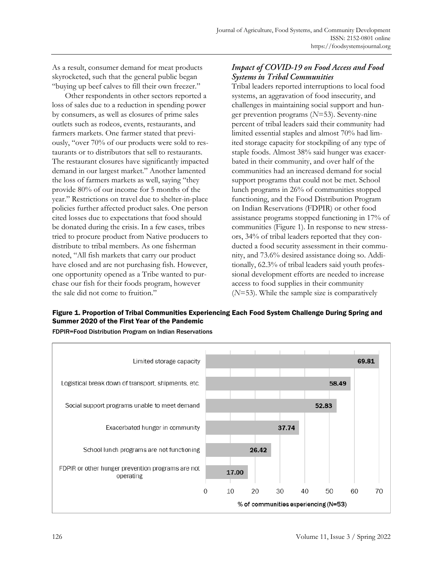As a result, consumer demand for meat products skyrocketed, such that the general public began "buying up beef calves to fill their own freezer."

Other respondents in other sectors reported a loss of sales due to a reduction in spending power by consumers, as well as closures of prime sales outlets such as rodeos, events, restaurants, and farmers markets. One farmer stated that previously, "over 70% of our products were sold to restaurants or to distributors that sell to restaurants. The restaurant closures have significantly impacted demand in our largest market." Another lamented the loss of farmers markets as well, saying "they provide 80% of our income for 5 months of the year." Restrictions on travel due to shelter-in-place policies further affected product sales. One person cited losses due to expectations that food should be donated during the crisis. In a few cases, tribes tried to procure product from Native producers to distribute to tribal members. As one fisherman noted, "All fish markets that carry our product have closed and are not purchasing fish. However, one opportunity opened as a Tribe wanted to purchase our fish for their foods program, however the sale did not come to fruition."

# Impact of COVID-19 on Food Access and Food **Systems in Tribal Communities**

Tribal leaders reported interruptions to local food systems, an aggravation of food insecurity, and challenges in maintaining social support and hunger prevention programs (*N*=53). Seventy-nine percent of tribal leaders said their community had limited essential staples and almost 70% had limited storage capacity for stockpiling of any type of staple foods. Almost 38% said hunger was exacerbated in their community, and over half of the communities had an increased demand for social support programs that could not be met. School lunch programs in 26% of communities stopped functioning, and the Food Distribution Program on Indian Reservations (FDPIR) or other food assistance programs stopped functioning in 17% of communities (Figure 1). In response to new stressors, 34% of tribal leaders reported that they conducted a food security assessment in their community, and 73.6% desired assistance doing so. Additionally, 62.3% of tribal leaders said youth professional development efforts are needed to increase access to food supplies in their community (*N*=53). While the sample size is comparatively

# Figure 1. Proportion of Tribal Communities Experiencing Each Food System Challenge During Spring and Summer 2020 of the First Year of the Pandemic



FDPIR=Food Distribution Program on Indian Reservations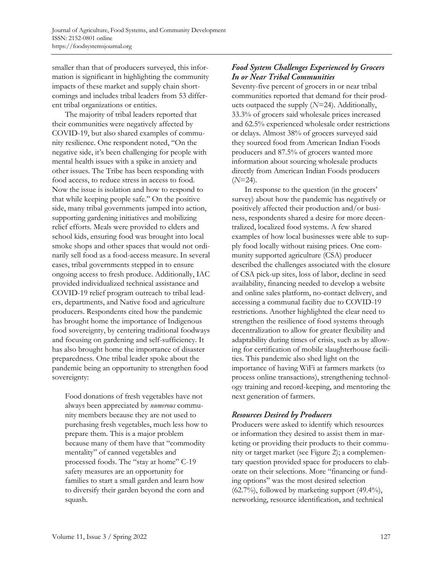smaller than that of producers surveyed, this information is significant in highlighting the community impacts of these market and supply chain shortcomings and includes tribal leaders from 53 different tribal organizations or entities.

The majority of tribal leaders reported that their communities were negatively affected by COVID-19, but also shared examples of community resilience. One respondent noted, "On the negative side, it's been challenging for people with mental health issues with a spike in anxiety and other issues. The Tribe has been responding with food access, to reduce stress in access to food. Now the issue is isolation and how to respond to that while keeping people safe." On the positive side, many tribal governments jumped into action, supporting gardening initiatives and mobilizing relief efforts. Meals were provided to elders and school kids, ensuring food was brought into local smoke shops and other spaces that would not ordinarily sell food as a food-access measure. In several cases, tribal governments stepped in to ensure ongoing access to fresh produce. Additionally, IAC provided individualized technical assistance and COVID-19 relief program outreach to tribal leaders, departments, and Native food and agriculture producers. Respondents cited how the pandemic has brought home the importance of Indigenous food sovereignty, by centering traditional foodways and focusing on gardening and self-sufficiency. It has also brought home the importance of disaster preparedness. One tribal leader spoke about the pandemic being an opportunity to strengthen food sovereignty:

Food donations of fresh vegetables have not always been appreciated by *numerous* community members because they are not used to purchasing fresh vegetables, much less how to prepare them. This is a major problem because many of them have that "commodity mentality" of canned vegetables and processed foods. The "stay at home" C-19 safety measures are an opportunity for families to start a small garden and learn how to diversify their garden beyond the corn and squash.

# **Food System Challenges Experienced by Grocers** In or Near Tribal Communities

Seventy-five percent of grocers in or near tribal communities reported that demand for their products outpaced the supply (*N*=24). Additionally, 33.3% of grocers said wholesale prices increased and 62.5% experienced wholesale order restrictions or delays. Almost 38% of grocers surveyed said they sourced food from American Indian Foods producers and 87.5% of grocers wanted more information about sourcing wholesale products directly from American Indian Foods producers  $(N=24)$ .

In response to the question (in the grocers' survey) about how the pandemic has negatively or positively affected their production and/or business, respondents shared a desire for more decentralized, localized food systems. A few shared examples of how local businesses were able to supply food locally without raising prices. One community supported agriculture (CSA) producer described the challenges associated with the closure of CSA pick-up sites, loss of labor, decline in seed availability, financing needed to develop a website and online sales platform, no-contact delivery, and accessing a communal facility due to COVID-19 restrictions. Another highlighted the clear need to strengthen the resilience of food systems through decentralization to allow for greater flexibility and adaptability during times of crisis, such as by allowing for certification of mobile slaughterhouse facilities. This pandemic also shed light on the importance of having WiFi at farmers markets (to process online transactions), strengthening technology training and record-keeping, and mentoring the next generation of farmers.

# **Resources Desired by Producers**

Producers were asked to identify which resources or information they desired to assist them in marketing or providing their products to their community or target market (see Figure 2); a complementary question provided space for producers to elaborate on their selections. More "financing or funding options" was the most desired selection (62.7%), followed by marketing support (49.4%), networking, resource identification, and technical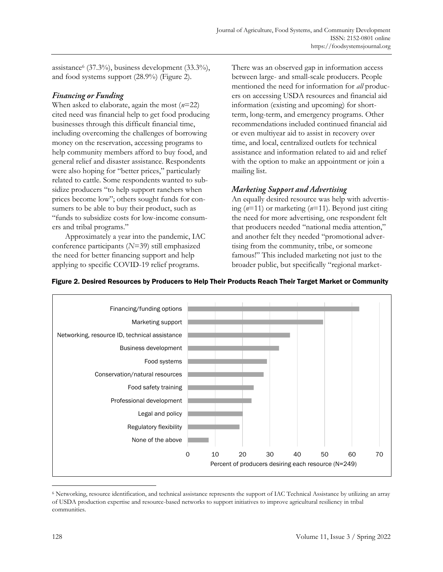assistance<sup>6</sup> (37.3%), business development (33.3%), and food systems support (28.9%) (Figure 2).

# **Financing or Funding**

When asked to elaborate, again the most (*n*=22) cited need was financial help to get food producing businesses through this difficult financial time, including overcoming the challenges of borrowing money on the reservation, accessing programs to help community members afford to buy food, and general relief and disaster assistance. Respondents were also hoping for "better prices," particularly related to cattle. Some respondents wanted to subsidize producers "to help support ranchers when prices become low"; others sought funds for consumers to be able to buy their product, such as "funds to subsidize costs for low-income consumers and tribal programs."

Approximately a year into the pandemic, IAC conference participants (*N*=39) still emphasized the need for better financing support and help applying to specific COVID-19 relief programs.

There was an observed gap in information access between large- and small-scale producers. People mentioned the need for information for *all* producers on accessing USDA resources and financial aid information (existing and upcoming) for shortterm, long-term, and emergency programs. Other recommendations included continued financial aid or even multiyear aid to assist in recovery over time, and local, centralized outlets for technical assistance and information related to aid and relief with the option to make an appointment or join a mailing list.

# **Marketing Support and Advertising**

An equally desired resource was help with advertising (*n*=11) or marketing (*n*=11). Beyond just citing the need for more advertising, one respondent felt that producers needed "national media attention," and another felt they needed "promotional advertising from the community, tribe, or someone famous!" This included marketing not just to the broader public, but specifically "regional market-



# Figure 2. Desired Resources by Producers to Help Their Products Reach Their Target Market or Community

<sup>6</sup> Networking, resource identification, and technical assistance represents the support of IAC Technical Assistance by utilizing an array of USDA production expertise and resource-based networks to support initiatives to improve agricultural resiliency in tribal communities.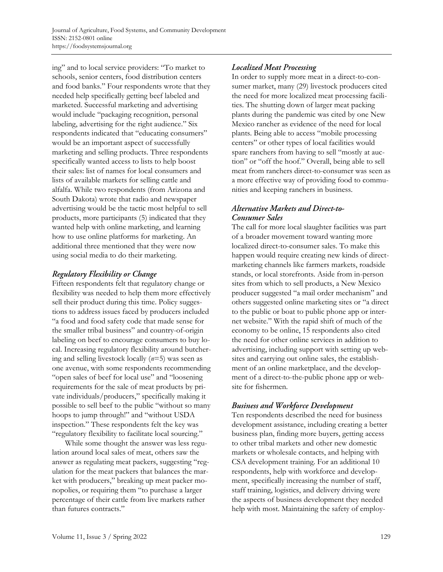ing" and to local service providers: "To market to schools, senior centers, food distribution centers and food banks." Four respondents wrote that they needed help specifically getting beef labeled and marketed. Successful marketing and advertising would include "packaging recognition, personal labeling, advertising for the right audience." Six respondents indicated that "educating consumers" would be an important aspect of successfully marketing and selling products. Three respondents specifically wanted access to lists to help boost their sales: list of names for local consumers and lists of available markets for selling cattle and alfalfa. While two respondents (from Arizona and South Dakota) wrote that radio and newspaper advertising would be the tactic most helpful to sell products, more participants (5) indicated that they wanted help with online marketing, and learning how to use online platforms for marketing. An additional three mentioned that they were now using social media to do their marketing.

# Regulatory Flexibility or Change

Fifteen respondents felt that regulatory change or flexibility was needed to help them more effectively sell their product during this time. Policy suggestions to address issues faced by producers included "a food and food safety code that made sense for the smaller tribal business" and country-of-origin labeling on beef to encourage consumers to buy local. Increasing regulatory flexibility around butchering and selling livestock locally (*n*=5) was seen as one avenue, with some respondents recommending "open sales of beef for local use" and "loosening requirements for the sale of meat products by private individuals/producers," specifically making it possible to sell beef to the public "without so many hoops to jump through!" and "without USDA inspection." These respondents felt the key was "regulatory flexibility to facilitate local sourcing."

While some thought the answer was less regulation around local sales of meat, others saw the answer as regulating meat packers, suggesting "regulation for the meat packers that balances the market with producers," breaking up meat packer monopolies, or requiring them "to purchase a larger percentage of their cattle from live markets rather than futures contracts."

# **Localized Meat Processing**

In order to supply more meat in a direct-to-consumer market, many (29) livestock producers cited the need for more localized meat processing facilities. The shutting down of larger meat packing plants during the pandemic was cited by one New Mexico rancher as evidence of the need for local plants. Being able to access "mobile processing centers" or other types of local facilities would spare ranchers from having to sell "mostly at auction" or "off the hoof." Overall, being able to sell meat from ranchers direct-to-consumer was seen as a more effective way of providing food to communities and keeping ranchers in business.

# **Alternative Markets and Direct-to-Consumer Sales**

The call for more local slaughter facilities was part of a broader movement toward wanting more localized direct-to-consumer sales. To make this happen would require creating new kinds of directmarketing channels like farmers markets, roadside stands, or local storefronts. Aside from in-person sites from which to sell products, a New Mexico producer suggested "a mail order mechanism" and others suggested online marketing sites or "a direct to the public or boat to public phone app or internet website." With the rapid shift of much of the economy to be online, 15 respondents also cited the need for other online services in addition to advertising, including support with setting up websites and carrying out online sales, the establishment of an online marketplace, and the development of a direct-to-the-public phone app or website for fishermen.

# **Business and Workforce Development**

Ten respondents described the need for business development assistance, including creating a better business plan, finding more buyers, getting access to other tribal markets and other new domestic markets or wholesale contacts, and helping with CSA development training. For an additional 10 respondents, help with workforce and development, specifically increasing the number of staff, staff training, logistics, and delivery driving were the aspects of business development they needed help with most. Maintaining the safety of employ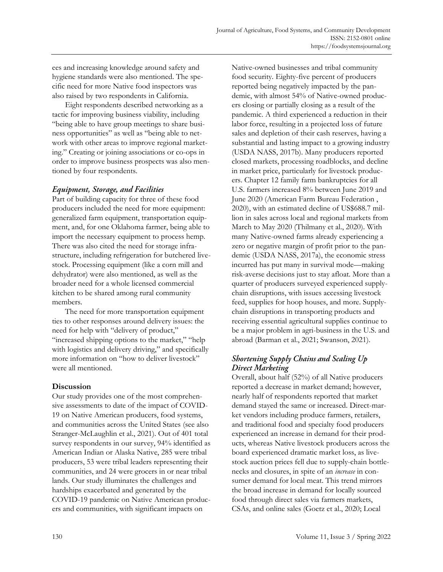ees and increasing knowledge around safety and hygiene standards were also mentioned. The specific need for more Native food inspectors was also raised by two respondents in California.

Eight respondents described networking as a tactic for improving business viability, including "being able to have group meetings to share business opportunities" as well as "being able to network with other areas to improve regional marketing." Creating or joining associations or co-ops in order to improve business prospects was also mentioned by four respondents.

# **Equipment, Storage, and Facilities**

Part of building capacity for three of these food producers included the need for more equipment: generalized farm equipment, transportation equipment, and, for one Oklahoma farmer, being able to import the necessary equipment to process hemp. There was also cited the need for storage infrastructure, including refrigeration for butchered livestock. Processing equipment (like a corn mill and dehydrator) were also mentioned, as well as the broader need for a whole licensed commercial kitchen to be shared among rural community members.

The need for more transportation equipment ties to other responses around delivery issues: the need for help with "delivery of product," "increased shipping options to the market," "help with logistics and delivery driving," and specifically more information on "how to deliver livestock" were all mentioned.

# **Discussion**

Our study provides one of the most comprehensive assessments to date of the impact of COVID-19 on Native American producers, food systems, and communities across the United States (see also Stranger-McLaughlin et al., 2021). Out of 401 total survey respondents in our survey, 94% identified as American Indian or Alaska Native, 285 were tribal producers, 53 were tribal leaders representing their communities, and 24 were grocers in or near tribal lands. Our study illuminates the challenges and hardships exacerbated and generated by the COVID-19 pandemic on Native American producers and communities, with significant impacts on

Native-owned businesses and tribal community food security. Eighty-five percent of producers reported being negatively impacted by the pandemic, with almost 54% of Native-owned producers closing or partially closing as a result of the pandemic. A third experienced a reduction in their labor force, resulting in a projected loss of future sales and depletion of their cash reserves, having a substantial and lasting impact to a growing industry (USDA NASS, 2017b). Many producers reported closed markets, processing roadblocks, and decline in market price, particularly for livestock producers. Chapter 12 family farm bankruptcies for all U.S. farmers increased 8% between June 2019 and June 2020 (American Farm Bureau Federation , 2020), with an estimated decline of US\$688.7 million in sales across local and regional markets from March to May 2020 (Thilmany et al., 2020). With many Native-owned farms already experiencing a zero or negative margin of profit prior to the pandemic (USDA NASS, 2017a), the economic stress incurred has put many in survival mode—making risk-averse decisions just to stay afloat. More than a quarter of producers surveyed experienced supplychain disruptions, with issues accessing livestock feed, supplies for hoop houses, and more. Supplychain disruptions in transporting products and receiving essential agricultural supplies continue to be a major problem in agri-business in the U.S. and abroad (Barman et al., 2021; Swanson, 2021).

# **Shortening Supply Chains and Scaling Up** Direct Marketing

Overall, about half (52%) of all Native producers reported a decrease in market demand; however, nearly half of respondents reported that market demand stayed the same or increased. Direct-market vendors including produce farmers, retailers, and traditional food and specialty food producers experienced an increase in demand for their products, whereas Native livestock producers across the board experienced dramatic market loss, as livestock auction prices fell due to supply-chain bottlenecks and closures, in spite of an *increase* in consumer demand for local meat. This trend mirrors the broad increase in demand for locally sourced food through direct sales via farmers markets, CSAs, and online sales (Goetz et al., 2020; Local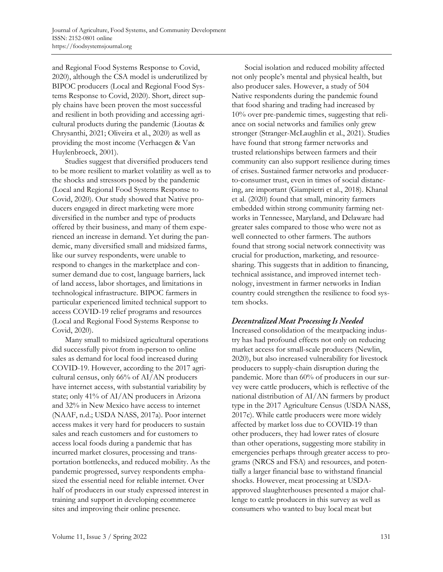and Regional Food Systems Response to Covid, 2020), although the CSA model is underutilized by BIPOC producers (Local and Regional Food Systems Response to Covid, 2020). Short, direct supply chains have been proven the most successful and resilient in both providing and accessing agricultural products during the pandemic (Lioutas & Chrysanthi, 2021; Oliveira et al., 2020) as well as providing the most income (Verhaegen & Van Huylenbroeck, 2001).

Studies suggest that diversified producers tend to be more resilient to market volatility as well as to the shocks and stressors posed by the pandemic (Local and Regional Food Systems Response to Covid, 2020). Our study showed that Native producers engaged in direct marketing were more diversified in the number and type of products offered by their business, and many of them experienced an increase in demand. Yet during the pandemic, many diversified small and midsized farms, like our survey respondents, were unable to respond to changes in the marketplace and consumer demand due to cost, language barriers, lack of land access, labor shortages, and limitations in technological infrastructure. BIPOC farmers in particular experienced limited technical support to access COVID-19 relief programs and resources (Local and Regional Food Systems Response to Covid, 2020).

Many small to midsized agricultural operations did successfully pivot from in-person to online sales as demand for local food increased during COVID-19. However, according to the 2017 agricultural census, only 66% of AI/AN producers have internet access, with substantial variability by state; only 41% of AI/AN producers in Arizona and 32% in New Mexico have access to internet (NAAF, n.d.; USDA NASS, 2017a). Poor internet access makes it very hard for producers to sustain sales and reach customers and for customers to access local foods during a pandemic that has incurred market closures, processing and transportation bottlenecks, and reduced mobility. As the pandemic progressed, survey respondents emphasized the essential need for reliable internet. Over half of producers in our study expressed interest in training and support in developing ecommerce sites and improving their online presence.

Social isolation and reduced mobility affected not only people's mental and physical health, but also producer sales. However, a study of 504 Native respondents during the pandemic found that food sharing and trading had increased by 10% over pre-pandemic times, suggesting that reliance on social networks and families only grew stronger (Stranger-McLaughlin et al., 2021). Studies have found that strong farmer networks and trusted relationships between farmers and their community can also support resilience during times of crises. Sustained farmer networks and producerto-consumer trust, even in times of social distancing, are important (Giampietri et al., 2018). Khanal et al. (2020) found that small, minority farmers embedded within strong community farming networks in Tennessee, Maryland, and Delaware had greater sales compared to those who were not as well connected to other farmers. The authors found that strong social network connectivity was crucial for production, marketing, and resourcesharing. This suggests that in addition to financing, technical assistance, and improved internet technology, investment in farmer networks in Indian country could strengthen the resilience to food system shocks.

# **Decentralized Meat Processing Is Needed**

Increased consolidation of the meatpacking industry has had profound effects not only on reducing market access for small-scale producers (Newlin, 2020), but also increased vulnerability for livestock producers to supply-chain disruption during the pandemic. More than 60% of producers in our survey were cattle producers, which is reflective of the national distribution of AI/AN farmers by product type in the 2017 Agriculture Census (USDA NASS, 2017c). While cattle producers were more widely affected by market loss due to COVID-19 than other producers, they had lower rates of closure than other operations, suggesting more stability in emergencies perhaps through greater access to programs (NRCS and FSA) and resources, and potentially a larger financial base to withstand financial shocks. However, meat processing at USDAapproved slaughterhouses presented a major challenge to cattle producers in this survey as well as consumers who wanted to buy local meat but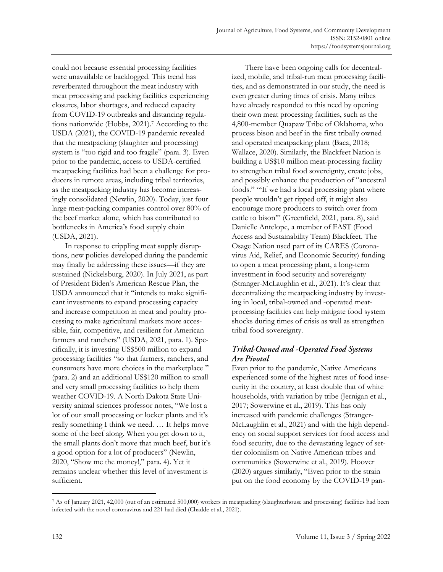could not because essential processing facilities were unavailable or backlogged. This trend has reverberated throughout the meat industry with meat processing and packing facilities experiencing closures, labor shortages, and reduced capacity from COVID-19 outbreaks and distancing regulations nationwide (Hobbs, 2021). <sup>7</sup> According to the USDA (2021), the COVID-19 pandemic revealed that the meatpacking (slaughter and processing) system is "too rigid and too fragile" (para. 3). Even prior to the pandemic, access to USDA-certified meatpacking facilities had been a challenge for producers in remote areas, including tribal territories, as the meatpacking industry has become increasingly consolidated (Newlin, 2020). Today, just four large meat-packing companies control over 80% of the beef market alone, which has contributed to bottlenecks in America's food supply chain (USDA, 2021).

In response to crippling meat supply disruptions, new policies developed during the pandemic may finally be addressing these issues—if they are sustained (Nickelsburg, 2020). In July 2021, as part of President Biden's American Rescue Plan, the USDA announced that it "intends to make significant investments to expand processing capacity and increase competition in meat and poultry processing to make agricultural markets more accessible, fair, competitive, and resilient for American farmers and ranchers" (USDA, 2021, para. 1). Specifically, it is investing US\$500 million to expand processing facilities "so that farmers, ranchers, and consumers have more choices in the marketplace " (para. 2) and an additional US\$120 million to small and very small processing facilities to help them weather COVID-19. A North Dakota State University animal sciences professor notes, "We lost a lot of our small processing or locker plants and it's really something I think we need. … It helps move some of the beef along. When you get down to it, the small plants don't move that much beef, but it's a good option for a lot of producers" (Newlin, 2020, "Show me the money!," para. 4). Yet it remains unclear whether this level of investment is sufficient.

There have been ongoing calls for decentralized, mobile, and tribal-run meat processing facilities, and as demonstrated in our study, the need is even greater during times of crisis. Many tribes have already responded to this need by opening their own meat processing facilities, such as the 4,800-member Quapaw Tribe of Oklahoma, who process bison and beef in the first tribally owned and operated meatpacking plant (Baca, 2018; Wallace, 2020). Similarly, the Blackfeet Nation is building a US\$10 million meat-processing facility to strengthen tribal food sovereignty, create jobs, and possibly enhance the production of "ancestral foods." "'If we had a local processing plant where people wouldn't get ripped off, it might also encourage more producers to switch over from cattle to bison'" (Greenfield, 2021, para. 8), said Danielle Antelope, a member of FAST (Food Access and Sustainability Team) Blackfeet. The Osage Nation used part of its CARES (Coronavirus Aid, Relief, and Economic Security) funding to open a meat processing plant, a long-term investment in food security and sovereignty (Stranger-McLaughlin et al., 2021). It's clear that decentralizing the meatpacking industry by investing in local, tribal-owned and -operated meatprocessing facilities can help mitigate food system shocks during times of crisis as well as strengthen tribal food sovereignty.

# Tribal-Owned and -Operated Food Systems **Are Pivotal**

Even prior to the pandemic, Native Americans experienced some of the highest rates of food insecurity in the country, at least double that of white households, with variation by tribe (Jernigan et al., 2017; Sowerwine et al., 2019). This has only increased with pandemic challenges (Stranger-McLaughlin et al., 2021) and with the high dependency on social support services for food access and food security, due to the devastating legacy of settler colonialism on Native American tribes and communities (Sowerwine et al., 2019). Hoover (2020) argues similarly, "Even prior to the strain put on the food economy by the COVID-19 pan-

<sup>7</sup> As of January 2021, 42,000 (out of an estimated 500,000) workers in meatpacking (slaughterhouse and processing) facilities had been infected with the novel coronavirus and 221 had died (Chadde et al., 2021).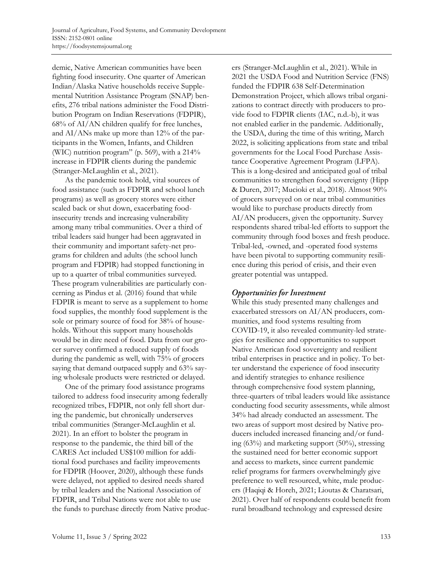demic, Native American communities have been fighting food insecurity. One quarter of American Indian/Alaska Native households receive Supplemental Nutrition Assistance Program (SNAP) benefits, 276 tribal nations administer the Food Distribution Program on Indian Reservations (FDPIR), 68% of AI/AN children qualify for free lunches, and AI/ANs make up more than 12% of the participants in the Women, Infants, and Children (WIC) nutrition program" (p. 569), with a 214% increase in FDPIR clients during the pandemic (Stranger-McLaughlin et al., 2021).

As the pandemic took hold, vital sources of food assistance (such as FDPIR and school lunch programs) as well as grocery stores were either scaled back or shut down, exacerbating foodinsecurity trends and increasing vulnerability among many tribal communities. Over a third of tribal leaders said hunger had been aggravated in their community and important safety-net programs for children and adults (the school lunch program and FDPIR) had stopped functioning in up to a quarter of tribal communities surveyed. These program vulnerabilities are particularly concerning as Pindus et al. (2016) found that while FDPIR is meant to serve as a supplement to home food supplies, the monthly food supplement is the sole or primary source of food for 38% of households. Without this support many households would be in dire need of food. Data from our grocer survey confirmed a reduced supply of foods during the pandemic as well, with 75% of grocers saying that demand outpaced supply and 63% saying wholesale products were restricted or delayed.

One of the primary food assistance programs tailored to address food insecurity among federally recognized tribes, FDPIR, not only fell short during the pandemic, but chronically underserves tribal communities (Stranger-McLaughlin et al. 2021). In an effort to bolster the program in response to the pandemic, the third bill of the CARES Act included US\$100 million for additional food purchases and facility improvements for FDPIR (Hoover, 2020), although these funds were delayed, not applied to desired needs shared by tribal leaders and the National Association of FDPIR, and Tribal Nations were not able to use the funds to purchase directly from Native produc-

ers (Stranger-McLaughlin et al., 2021). While in 2021 the USDA Food and Nutrition Service (FNS) funded the FDPIR 638 Self-Determination Demonstration Project, which allows tribal organizations to contract directly with producers to provide food to FDPIR clients (IAC, n.d.-b), it was not enabled earlier in the pandemic. Additionally, the USDA, during the time of this writing, March 2022, is soliciting applications from state and tribal governments for the Local Food Purchase Assistance Cooperative Agreement Program (LFPA). This is a long-desired and anticipated goal of tribal communities to strengthen food sovereignty (Hipp & Duren, 2017; Mucioki et al., 2018). Almost 90% of grocers surveyed on or near tribal communities would like to purchase products directly from AI/AN producers, given the opportunity. Survey respondents shared tribal-led efforts to support the community through food boxes and fresh produce. Tribal-led, -owned, and -operated food systems have been pivotal to supporting community resilience during this period of crisis, and their even greater potential was untapped.

# **Opportunities for Investment**

While this study presented many challenges and exacerbated stressors on AI/AN producers, communities, and food systems resulting from COVID-19, it also revealed community-led strategies for resilience and opportunities to support Native American food sovereignty and resilient tribal enterprises in practice and in policy. To better understand the experience of food insecurity and identify strategies to enhance resilience through comprehensive food system planning, three-quarters of tribal leaders would like assistance conducting food security assessments, while almost 34% had already conducted an assessment. The two areas of support most desired by Native producers included increased financing and/or funding (63%) and marketing support (50%), stressing the sustained need for better economic support and access to markets, since current pandemic relief programs for farmers overwhelmingly give preference to well resourced, white, male producers (Haqiqi & Horeh, 2021; Lioutas & Charatsari, 2021). Over half of respondents could benefit from rural broadband technology and expressed desire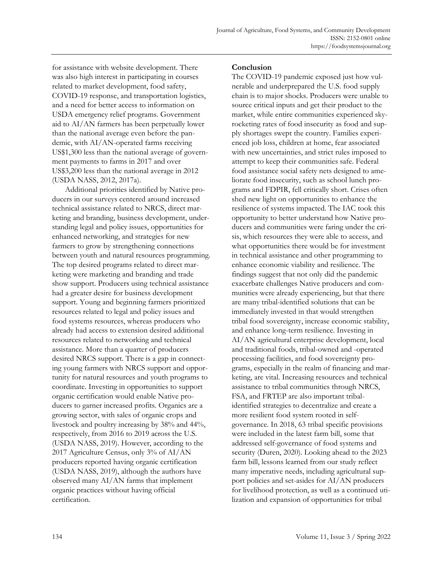for assistance with website development. There was also high interest in participating in courses related to market development, food safety, COVID-19 response, and transportation logistics, and a need for better access to information on USDA emergency relief programs. Government aid to AI/AN farmers has been perpetually lower than the national average even before the pandemic, with AI/AN-operated farms receiving US\$1,300 less than the national average of government payments to farms in 2017 and over US\$3,200 less than the national average in 2012 (USDA NASS, 2012, 2017a).

Additional priorities identified by Native producers in our surveys centered around increased technical assistance related to NRCS, direct marketing and branding, business development, understanding legal and policy issues, opportunities for enhanced networking, and strategies for new farmers to grow by strengthening connections between youth and natural resources programming. The top desired programs related to direct marketing were marketing and branding and trade show support. Producers using technical assistance had a greater desire for business development support. Young and beginning farmers prioritized resources related to legal and policy issues and food systems resources, whereas producers who already had access to extension desired additional resources related to networking and technical assistance. More than a quarter of producers desired NRCS support. There is a gap in connecting young farmers with NRCS support and opportunity for natural resources and youth programs to coordinate. Investing in opportunities to support organic certification would enable Native producers to garner increased profits. Organics are a growing sector, with sales of organic crops and livestock and poultry increasing by 38% and 44%, respectively, from 2016 to 2019 across the U.S. (USDA NASS, 2019). However, according to the 2017 Agriculture Census, only 3% of AI/AN producers reported having organic certification (USDA NASS, 2019), although the authors have observed many AI/AN farms that implement organic practices without having official certification.

#### **Conclusion**

The COVID-19 pandemic exposed just how vulnerable and underprepared the U.S. food supply chain is to major shocks. Producers were unable to source critical inputs and get their product to the market, while entire communities experienced skyrocketing rates of food insecurity as food and supply shortages swept the country. Families experienced job loss, children at home, fear associated with new uncertainties, and strict rules imposed to attempt to keep their communities safe. Federal food assistance social safety nets designed to ameliorate food insecurity, such as school lunch programs and FDPIR, fell critically short. Crises often shed new light on opportunities to enhance the resilience of systems impacted. The IAC took this opportunity to better understand how Native producers and communities were faring under the crisis, which resources they were able to access, and what opportunities there would be for investment in technical assistance and other programming to enhance economic viability and resilience. The findings suggest that not only did the pandemic exacerbate challenges Native producers and communities were already experiencing, but that there are many tribal-identified solutions that can be immediately invested in that would strengthen tribal food sovereignty, increase economic stability, and enhance long-term resilience. Investing in AI/AN agricultural enterprise development, local and traditional foods, tribal-owned and -operated processing facilities, and food sovereignty programs, especially in the realm of financing and marketing, are vital. Increasing resources and technical assistance to tribal communities through NRCS, FSA, and FRTEP are also important tribalidentified strategies to decentralize and create a more resilient food system rooted in selfgovernance. In 2018, 63 tribal specific provisions were included in the latest farm bill, some that addressed self-governance of food systems and security (Duren, 2020). Looking ahead to the 2023 farm bill, lessons learned from our study reflect many imperative needs, including agricultural support policies and set-asides for AI/AN producers for livelihood protection, as well as a continued utilization and expansion of opportunities for tribal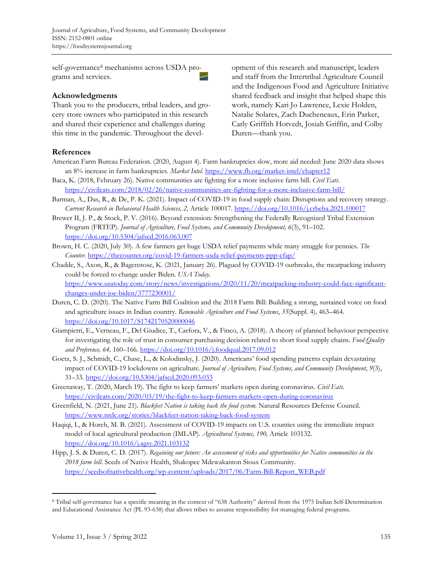self-governance<sup>8</sup> mechanisms across USDA programs and services.

#### **Acknowledgments**

Thank you to the producers, tribal leaders, and grocery store owners who participated in this research and shared their experience and challenges during this time in the pandemic. Throughout the development of this research and manuscript, leaders and staff from the Intertribal Agriculture Council and the Indigenous Food and Agriculture Initiative shared feedback and insight that helped shape this work, namely Kari Jo Lawrence, Lexie Holden, Natalie Solares, Zach Ducheneaux, Erin Parker, Carly Griffith Hotvedt, Josiah Griffin, and Colby Duren—thank you.

#### **References**

- American Farm Bureau Federation. (2020, August 4). Farm bankruptcies slow, more aid needed: June 2020 data shows an 8% increase in farm bankruptcies. *Market Intel*[. https://www.fb.org/market-intel/chapter12](https://www.fb.org/market-intel/chapter12)
- Baca, K. (2018, February 26). Native communities are fighting for a more inclusive farm bill. *Civil Eats*. <https://civileats.com/2018/02/26/native-communities-are-fighting-for-a-more-inclusive-farm-bill/>
- Barman, A., Das, R., & De, P. K. (2021). Impact of COVID-19 in food supply chain: Disruptions and recovery strategy. *Current Research in Behavioral Health Sciences, 2,* Article 100017.<https://doi.org/10.1016/j.crbeha.2021.100017>
- Brewer II, J. P., & Stock, P. V. (2016). Beyond extension: Strengthening the Federally Recognized Tribal Extension Program (FRTEP). *Journal of Agriculture, Food Systems, and Community Development, 6*(3), 91–102. <https://doi.org/10.5304/jafscd.2016.063.007>
- Brown, H. C. (2020, July 30). A few farmers get huge USDA relief payments while many struggle for pennies. *The Counter.* <https://thecounter.org/covid-19-farmers-usda-relief-payments-ppp-cfap/>
- Chadde, S., Axon, R., & Bagenstose, K. (2021, January 26). Plagued by COVID-19 outbreaks, the meatpacking industry could be forced to change under Biden. *USA Today*. [https://www.usatoday.com/story/news/investigations/2020/11/20/meatpacking-industry-could-face-significant](https://www.usatoday.com/story/news/investigations/2020/11/20/meatpacking-industry-could-face-significant-changes-under-joe-biden/3777230001/)[changes-under-joe-biden/3777230001/](https://www.usatoday.com/story/news/investigations/2020/11/20/meatpacking-industry-could-face-significant-changes-under-joe-biden/3777230001/)
- Duren, C. D. (2020). The Native Farm Bill Coalition and the 2018 Farm Bill: Building a strong, sustained voice on food and agriculture issues in Indian country. *Renewable Agriculture and Food Systems*, *35*(Suppl. 4)*,* 463–464. <https://doi.org/10.1017/S1742170520000046>
- Giampietri, E., Verneau, F., Del Giudice, T., Carfora, V., & Finco, A. (2018). A theory of planned behaviour perspective for investigating the role of trust in consumer purchasing decision related to short food supply chains. *Food Quality and Preference, 64,* 160–166. <https://doi.org/10.1016/j.foodqual.2017.09.012>
- Goetz, S. J., Schmidt, C., Chase, L., & Kolodinsky, J. (2020). Americans' food spending patterns explain devastating impact of COVID-19 lockdowns on agriculture. *Journal of Agriculture, Food Systems, and Community Development*, *9*(3), 31–33. <https://doi.org/10.5304/jafscd.2020.093.033>
- Greenaway, T. (2020, March 19). The fight to keep farmers' markets open during coronavirus. *Civil Eats.* <https://civileats.com/2020/03/19/the-fight-to-keep-farmers-markets-open-during-coronavirus>
- Greenfield, N. (2021, June 21). *Blackfeet Nation is taking back the food system.* Natural Resources Defense Council. <https://www.nrdc.org/stories/blackfeet-nation-taking-back-food-system>
- Haqiqi, I., & Horeh, M. B. (2021). Assessment of COVID-19 impacts on U.S. counties using the immediate impact model of local agricultural production (IMLAP). *Agricultural Systems, 190,* Article 103132. <https://doi.org/10.1016/j.agsy.2021.103132>
- Hipp, J. S. & Duren, C. D. (2017). *Regaining our future: An assessment of risks and opportunities for Native communities in the 2018 farm bill.* Seeds of Native Health, Shakopee Mdewakanton Sioux Community. [https://seedsofnativehealth.org/wp-content/uploads/2017/06/Farm-Bill-Report\\_WEB.pdf](https://seedsofnativehealth.org/wp-content/uploads/2017/06/Farm-Bill-Report_WEB.pdf)

<sup>8</sup> Tribal self-governance has a specific meaning in the context of "638 Authority" derived from the 1975 Indian Self-Determination and Educational Assistance Act (PL 93-638) that allows tribes to assume responsibility for managing federal programs.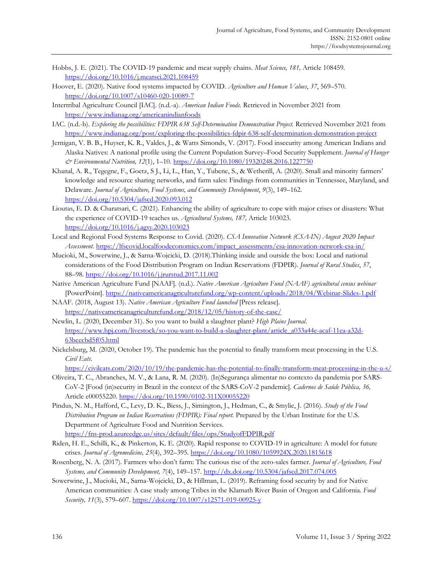- Hobbs, J. E. (2021). The COVID-19 pandemic and meat supply chains. *Meat Science, 181,* Article 108459. <https://doi.org/10.1016/j.meatsci.2021.108459>
- Hoover, E. (2020). Native food systems impacted by COVID. *Agriculture and Human Values*, *37*, 569–570. <https://doi.org/10.1007/s10460-020-10089-7>
- Intertribal Agriculture Council [IAC]. (n.d.-a). *American Indian Foods.* Retrieved in November 2021 from <https://www.indianag.org/americanindianfoods>
- IAC. (n.d.-b). *Exploring the possibilities: FDPIR 638 Self-Determination Demonstration Project.* Retrieved November 2021 from <https://www.indianag.org/post/exploring-the-possibilities-fdpir-638-self-determination-demonstration-project>
- Jernigan, V. B. B., Huyser, K. R., Valdes, J., & Watts Simonds, V. (2017). Food insecurity among American Indians and Alaska Natives: A national profile using the Current Population Survey–Food Security Supplement. *Journal of Hunger & Environmental Nutrition, 12*(1), 1–10[. https://doi.org/10.1080/19320248.2016.1227750](https://doi.org/10.1080/19320248.2016.1227750)
- Khanal, A. R., Tegegne, F., Goetz, S J., Li, L., Han, Y., Tubene, S., & Wetherill, A. (2020). Small and minority farmers' knowledge and resource sharing networks, and farm sales: Findings from communities in Tennessee, Maryland, and Delaware. *Journal of Agriculture, Food Systems, and Community Development*, *9*(3), 149–162. <https://doi.org/10.5304/jafscd.2020.093.012>
- Lioutas, E. D. & Charatsari, C. (2021). Enhancing the ability of agriculture to cope with major crises or disasters: What the experience of COVID-19 teaches us. *Agricultural Systems, 187,* Article 103023. <https://doi.org/10.1016/j.agsy.2020.103023>
- Local and Regional Food Systems Response to Covid. (2020). *CSA Innovation Network (CSA-IN) August 2020 Impact Assessment.* [https://lfscovid.localfoodeconomics.com/impact\\_assessments/csa-innovation-network-csa-in/](https://lfscovid.localfoodeconomics.com/impact_assessments/csa-innovation-network-csa-in/)
- Mucioki, M., Sowerwine, J., & Sarna-Wojcicki, D. (2018).Thinking inside and outside the box: Local and national considerations of the Food Distribution Program on Indian Reservations (FDPIR). *Journal of Rural Studies*, *57*, 88–98.<https://doi.org/10.1016/j.jrurstud.2017.11.002>
- Native American Agriculture Fund [NAAF]. (n.d.). *Native American Agriculture Fund (NAAF) agricultural census webinar* [PowerPoint].<https://nativeamericanagriculturefund.org/wp-content/uploads/2018/04/Webinar-Slides-1.pdf>
- NAAF. (2018, August 13). *Native American Agriculture Fund launched* [Press release]. <https://nativeamericanagriculturefund.org/2018/12/05/history-of-the-case/>
- Newlin, L. (2020, December 31). So you want to build a slaughter plant? *High Plains Journal*. [https://www.hpj.com/livestock/so-you-want-to-build-a-slaughter-plant/article\\_a033a44e-acaf-11ea-a32d-](https://www.hpj.com/livestock/so-you-want-to-build-a-slaughter-plant/article_a033a44e-acaf-11ea-a32d-63beecbd5f05.html)[63beecbd5f05.html](https://www.hpj.com/livestock/so-you-want-to-build-a-slaughter-plant/article_a033a44e-acaf-11ea-a32d-63beecbd5f05.html)
- Nickelsburg, M. (2020, October 19). The pandemic has the potential to finally transform meat processing in the U.S. *Civil Eats*.

<https://civileats.com/2020/10/19/the-pandemic-has-the-potential-to-finally-transform-meat-processing-in-the-u-s/>

- Oliveira, T. C., Abranches, M. V., & Lana, R. M. (2020). (In)Segurança alimentar no contexto da pandemia por SARS-CoV-2 [Food (in)security in Brazil in the context of the SARS-CoV-2 pandemic]. *Cadernos de Saúde Pública, 36,* Article e00055220.<https://doi.org/10.1590/0102-311X00055220>
- Pindus, N. M., Hafford, C., Levy, D. K., Biess, J., Simington, J., Hedman, C., & Smylie, J. (2016). *Study of the Food Distribution Program on Indian Reservations (FDPIR): Final report.* Prepared by the Urban Institute for the U.S. Department of Agriculture Food and Nutrition Services. <https://fns-prod.azureedge.us/sites/default/files/ops/StudyofFDPIR.pdf>
- Riden, H. E., Schilli, K., & Pinkerton, K. E. (2020). Rapid response to COVID-19 in agriculture: A model for future crises. *Journal of Agromedicine, 25*(4), 392–395[. https://doi.org/10.1080/1059924X.2020.1815618](https://doi.org/10.1080/1059924X.2020.1815618)
- Rosenberg, N. A. (2017). Farmers who don't farm: The curious rise of the zero-sales farmer. *Journal of Agriculture, Food Systems, and Community Development, 7*(4), 149–157[. http://dx.doi.org/10.5304/jafscd.2017.074.005](http://dx.doi.org/10.5304/jafscd.2017.074.005)
- Sowerwine, J., Mucioki, M., Sarna-Wojcicki, D., & Hillman, L. (2019). Reframing food security by and for Native American communities: A case study among Tribes in the Klamath River Basin of Oregon and California. *Food Security, 11*(3), 579–607. <https://doi.org/10.1007/s12571-019-00925-y>